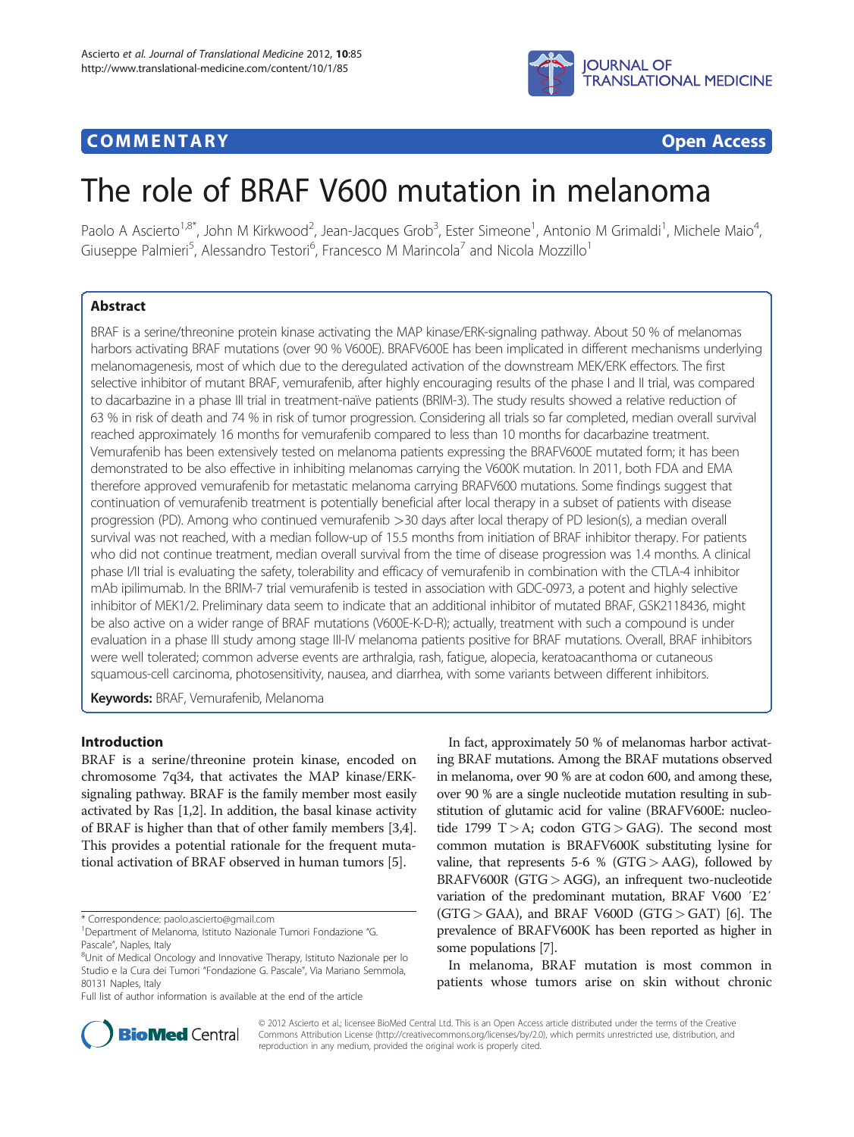

# **COMMENTARY COMMENTARY COMMENTARY**

# The role of BRAF V600 mutation in melanoma

Paolo A Ascierto<sup>1,8\*</sup>, John M Kirkwood<sup>2</sup>, Jean-Jacques Grob<sup>3</sup>, Ester Simeone<sup>1</sup>, Antonio M Grimaldi<sup>1</sup>, Michele Maio<sup>4</sup> , Giuseppe Palmieri<sup>5</sup>, Alessandro Testori<sup>6</sup>, Francesco M Marincola<sup>7</sup> and Nicola Mozzillo<sup>1</sup>

# Abstract

BRAF is a serine/threonine protein kinase activating the MAP kinase/ERK-signaling pathway. About 50 % of melanomas harbors activating BRAF mutations (over 90 % V600E). BRAFV600E has been implicated in different mechanisms underlying melanomagenesis, most of which due to the deregulated activation of the downstream MEK/ERK effectors. The first selective inhibitor of mutant BRAF, vemurafenib, after highly encouraging results of the phase I and II trial, was compared to dacarbazine in a phase III trial in treatment-naïve patients (BRIM-3). The study results showed a relative reduction of 63 % in risk of death and 74 % in risk of tumor progression. Considering all trials so far completed, median overall survival reached approximately 16 months for vemurafenib compared to less than 10 months for dacarbazine treatment. Vemurafenib has been extensively tested on melanoma patients expressing the BRAFV600E mutated form; it has been demonstrated to be also effective in inhibiting melanomas carrying the V600K mutation. In 2011, both FDA and EMA therefore approved vemurafenib for metastatic melanoma carrying BRAFV600 mutations. Some findings suggest that continuation of vemurafenib treatment is potentially beneficial after local therapy in a subset of patients with disease progression (PD). Among who continued vemurafenib >30 days after local therapy of PD lesion(s), a median overall survival was not reached, with a median follow-up of 15.5 months from initiation of BRAF inhibitor therapy. For patients who did not continue treatment, median overall survival from the time of disease progression was 1.4 months. A clinical phase I/II trial is evaluating the safety, tolerability and efficacy of vemurafenib in combination with the CTLA-4 inhibitor mAb ipilimumab. In the BRIM-7 trial vemurafenib is tested in association with GDC-0973, a potent and highly selective inhibitor of MEK1/2. Preliminary data seem to indicate that an additional inhibitor of mutated BRAF, GSK2118436, might be also active on a wider range of BRAF mutations (V600E-K-D-R); actually, treatment with such a compound is under evaluation in a phase III study among stage III-IV melanoma patients positive for BRAF mutations. Overall, BRAF inhibitors were well tolerated; common adverse events are arthralgia, rash, fatigue, alopecia, keratoacanthoma or cutaneous squamous-cell carcinoma, photosensitivity, nausea, and diarrhea, with some variants between different inhibitors.

Keywords: BRAF, Vemurafenib, Melanoma

# Introduction

BRAF is a serine/threonine protein kinase, encoded on chromosome 7q34, that activates the MAP kinase/ERKsignaling pathway. BRAF is the family member most easily activated by Ras [\[1,2\]](#page-6-0). In addition, the basal kinase activity of BRAF is higher than that of other family members [[3,4](#page-6-0)]. This provides a potential rationale for the frequent mutational activation of BRAF observed in human tumors [\[5](#page-6-0)].

Full list of author information is available at the end of the article

In fact, approximately 50 % of melanomas harbor activating BRAF mutations. Among the BRAF mutations observed in melanoma, over 90 % are at codon 600, and among these, over 90 % are a single nucleotide mutation resulting in substitution of glutamic acid for valine (BRAFV600E: nucleotide 1799  $T > A$ ; codon GTG  $>$  GAG). The second most common mutation is BRAFV600K substituting lysine for valine, that represents 5-6 % (GTG > AAG), followed by BRAFV600R (GTG> AGG), an infrequent two-nucleotide variation of the predominant mutation, BRAF V600 ′E2′  $(GTG > GAA)$ , and BRAF V600D  $(GTG > GAT)$  [\[6\]](#page-6-0). The prevalence of BRAFV600K has been reported as higher in some populations [\[7\]](#page-6-0).

In melanoma, BRAF mutation is most common in patients whose tumors arise on skin without chronic



© 2012 Ascierto et al.; licensee BioMed Central Ltd. This is an Open Access article distributed under the terms of the Creative Commons Attribution License (http://creativecommons.org/licenses/by/2.0), which permits unrestricted use, distribution, and reproduction in any medium, provided the original work is properly cited.

<sup>\*</sup> Correspondence: [paolo.ascierto@gmail.com](mailto:paolo.ascierto@gmail.com) <sup>1</sup>

<sup>&</sup>lt;sup>1</sup> Department of Melanoma, Istituto Nazionale Tumori Fondazione "G. Pascale", Naples, Italy

<sup>&</sup>lt;sup>8</sup>Unit of Medical Oncology and Innovative Therapy, Istituto Nazionale per lo Studio e la Cura dei Tumori "Fondazione G. Pascale", Via Mariano Semmola, 80131 Naples, Italy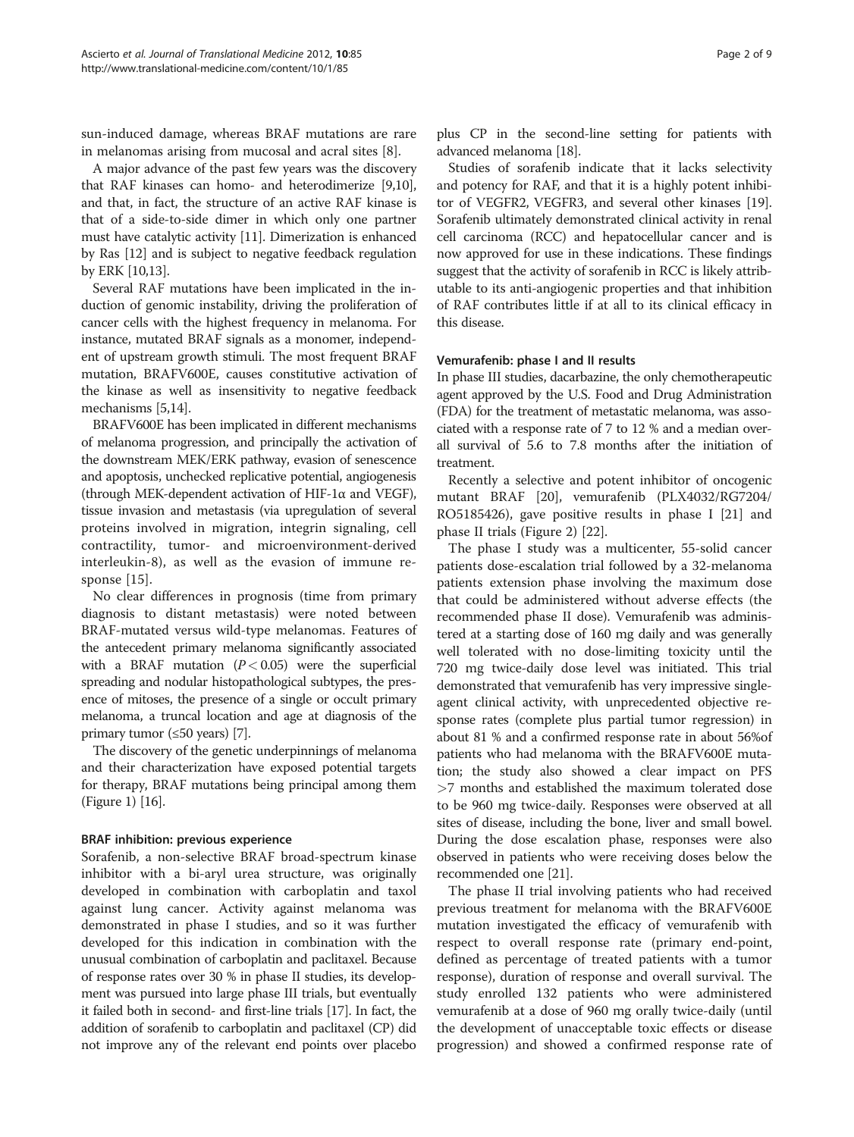sun-induced damage, whereas BRAF mutations are rare in melanomas arising from mucosal and acral sites [[8\]](#page-6-0).

A major advance of the past few years was the discovery that RAF kinases can homo- and heterodimerize [\[9,10](#page-6-0)], and that, in fact, the structure of an active RAF kinase is that of a side-to-side dimer in which only one partner must have catalytic activity [\[11](#page-6-0)]. Dimerization is enhanced by Ras [[12](#page-6-0)] and is subject to negative feedback regulation by ERK [\[10,13](#page-6-0)].

Several RAF mutations have been implicated in the induction of genomic instability, driving the proliferation of cancer cells with the highest frequency in melanoma. For instance, mutated BRAF signals as a monomer, independent of upstream growth stimuli. The most frequent BRAF mutation, BRAFV600E, causes constitutive activation of the kinase as well as insensitivity to negative feedback mechanisms [[5,14](#page-6-0)].

BRAFV600E has been implicated in different mechanisms of melanoma progression, and principally the activation of the downstream MEK/ERK pathway, evasion of senescence and apoptosis, unchecked replicative potential, angiogenesis (through MEK-dependent activation of HIF-1α and VEGF), tissue invasion and metastasis (via upregulation of several proteins involved in migration, integrin signaling, cell contractility, tumor- and microenvironment-derived interleukin-8), as well as the evasion of immune re-sponse [[15\]](#page-6-0).

No clear differences in prognosis (time from primary diagnosis to distant metastasis) were noted between BRAF-mutated versus wild-type melanomas. Features of the antecedent primary melanoma significantly associated with a BRAF mutation  $(P < 0.05)$  were the superficial spreading and nodular histopathological subtypes, the presence of mitoses, the presence of a single or occult primary melanoma, a truncal location and age at diagnosis of the primary tumor (≤50 years) [\[7\]](#page-6-0).

The discovery of the genetic underpinnings of melanoma and their characterization have exposed potential targets for therapy, BRAF mutations being principal among them (Figure [1](#page-2-0)) [[16](#page-6-0)].

#### BRAF inhibition: previous experience

Sorafenib, a non-selective BRAF broad-spectrum kinase inhibitor with a bi-aryl urea structure, was originally developed in combination with carboplatin and taxol against lung cancer. Activity against melanoma was demonstrated in phase I studies, and so it was further developed for this indication in combination with the unusual combination of carboplatin and paclitaxel. Because of response rates over 30 % in phase II studies, its development was pursued into large phase III trials, but eventually it failed both in second- and first-line trials [[17](#page-6-0)]. In fact, the addition of sorafenib to carboplatin and paclitaxel (CP) did not improve any of the relevant end points over placebo

plus CP in the second-line setting for patients with advanced melanoma [[18](#page-6-0)].

Studies of sorafenib indicate that it lacks selectivity and potency for RAF, and that it is a highly potent inhibitor of VEGFR2, VEGFR3, and several other kinases [[19](#page-7-0)]. Sorafenib ultimately demonstrated clinical activity in renal cell carcinoma (RCC) and hepatocellular cancer and is now approved for use in these indications. These findings suggest that the activity of sorafenib in RCC is likely attributable to its anti-angiogenic properties and that inhibition of RAF contributes little if at all to its clinical efficacy in this disease.

#### Vemurafenib: phase I and II results

In phase III studies, dacarbazine, the only chemotherapeutic agent approved by the U.S. Food and Drug Administration (FDA) for the treatment of metastatic melanoma, was associated with a response rate of 7 to 12 % and a median overall survival of 5.6 to 7.8 months after the initiation of treatment.

Recently a selective and potent inhibitor of oncogenic mutant BRAF [\[20\]](#page-7-0), vemurafenib (PLX4032/RG7204/ RO5185426), gave positive results in phase I [[21\]](#page-7-0) and phase II trials (Figure [2\)](#page-2-0) [[22\]](#page-7-0).

The phase I study was a multicenter, 55-solid cancer patients dose-escalation trial followed by a 32-melanoma patients extension phase involving the maximum dose that could be administered without adverse effects (the recommended phase II dose). Vemurafenib was administered at a starting dose of 160 mg daily and was generally well tolerated with no dose-limiting toxicity until the 720 mg twice-daily dose level was initiated. This trial demonstrated that vemurafenib has very impressive singleagent clinical activity, with unprecedented objective response rates (complete plus partial tumor regression) in about 81 % and a confirmed response rate in about 56%of patients who had melanoma with the BRAFV600E mutation; the study also showed a clear impact on PFS >7 months and established the maximum tolerated dose to be 960 mg twice-daily. Responses were observed at all sites of disease, including the bone, liver and small bowel. During the dose escalation phase, responses were also observed in patients who were receiving doses below the recommended one [\[21\]](#page-7-0).

The phase II trial involving patients who had received previous treatment for melanoma with the BRAFV600E mutation investigated the efficacy of vemurafenib with respect to overall response rate (primary end-point, defined as percentage of treated patients with a tumor response), duration of response and overall survival. The study enrolled 132 patients who were administered vemurafenib at a dose of 960 mg orally twice-daily (until the development of unacceptable toxic effects or disease progression) and showed a confirmed response rate of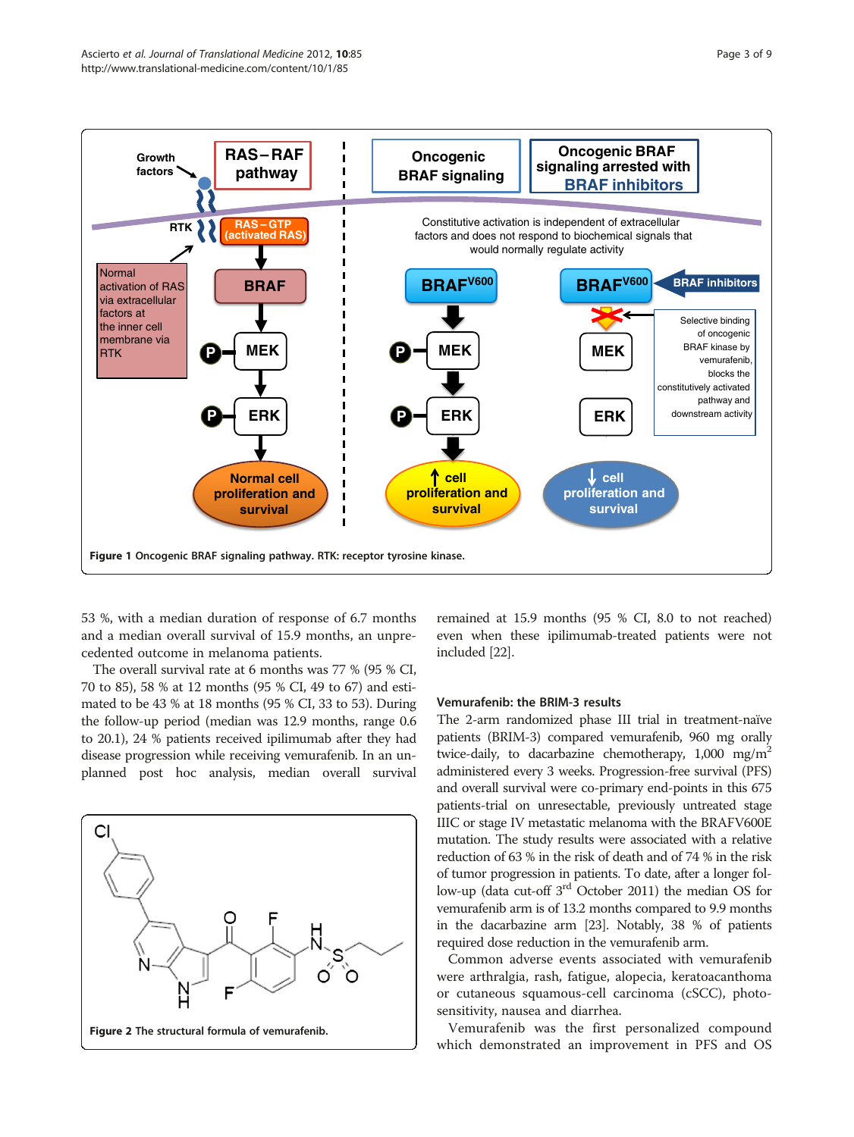<span id="page-2-0"></span>

53 %, with a median duration of response of 6.7 months and a median overall survival of 15.9 months, an unprecedented outcome in melanoma patients.

The overall survival rate at 6 months was 77 % (95 % CI, 70 to 85), 58 % at 12 months (95 % CI, 49 to 67) and estimated to be 43 % at 18 months (95 % CI, 33 to 53). During the follow-up period (median was 12.9 months, range 0.6 to 20.1), 24 % patients received ipilimumab after they had disease progression while receiving vemurafenib. In an unplanned post hoc analysis, median overall survival



remained at 15.9 months (95 % CI, 8.0 to not reached) even when these ipilimumab-treated patients were not included [\[22\]](#page-7-0).

#### Vemurafenib: the BRIM-3 results

The 2-arm randomized phase III trial in treatment-naïve patients (BRIM-3) compared vemurafenib, 960 mg orally twice-daily, to dacarbazine chemotherapy,  $1,000$  mg/m<sup>2</sup> administered every 3 weeks. Progression-free survival (PFS) and overall survival were co-primary end-points in this 675 patients-trial on unresectable, previously untreated stage IIIC or stage IV metastatic melanoma with the BRAFV600E mutation. The study results were associated with a relative reduction of 63 % in the risk of death and of 74 % in the risk of tumor progression in patients. To date, after a longer follow-up (data cut-off 3rd October 2011) the median OS for vemurafenib arm is of 13.2 months compared to 9.9 months in the dacarbazine arm [[23\]](#page-7-0). Notably, 38 % of patients required dose reduction in the vemurafenib arm.

Common adverse events associated with vemurafenib were arthralgia, rash, fatigue, alopecia, keratoacanthoma or cutaneous squamous-cell carcinoma (cSCC), photosensitivity, nausea and diarrhea.

Vemurafenib was the first personalized compound which demonstrated an improvement in PFS and OS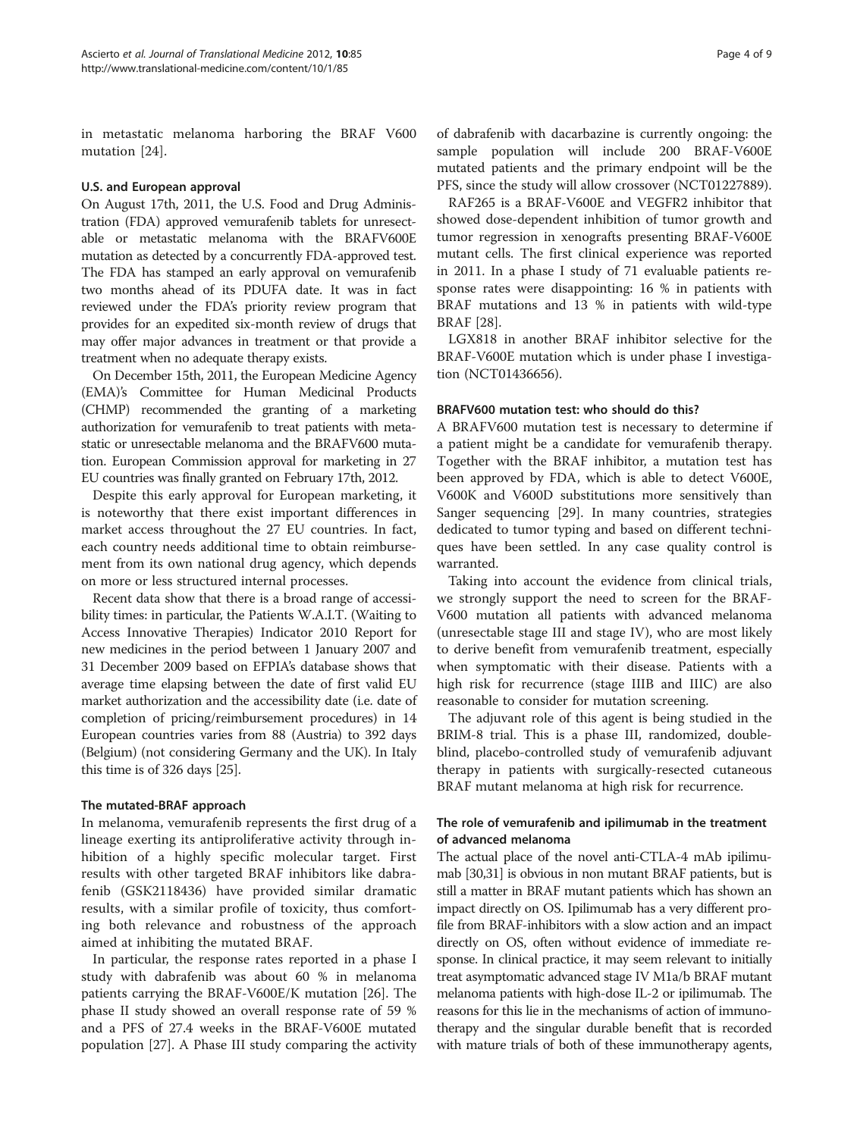in metastatic melanoma harboring the BRAF V600 mutation [\[24](#page-7-0)].

#### U.S. and European approval

On August 17th, 2011, the U.S. Food and Drug Administration (FDA) approved vemurafenib tablets for unresectable or metastatic melanoma with the BRAFV600E mutation as detected by a concurrently FDA-approved test. The FDA has stamped an early approval on vemurafenib two months ahead of its PDUFA date. It was in fact reviewed under the FDA's priority review program that provides for an expedited six-month review of drugs that may offer major advances in treatment or that provide a treatment when no adequate therapy exists.

On December 15th, 2011, the European Medicine Agency (EMA)'s Committee for Human Medicinal Products (CHMP) recommended the granting of a marketing authorization for vemurafenib to treat patients with metastatic or unresectable melanoma and the BRAFV600 mutation. European Commission approval for marketing in 27 EU countries was finally granted on February 17th, 2012.

Despite this early approval for European marketing, it is noteworthy that there exist important differences in market access throughout the 27 EU countries. In fact, each country needs additional time to obtain reimbursement from its own national drug agency, which depends on more or less structured internal processes.

Recent data show that there is a broad range of accessibility times: in particular, the Patients W.A.I.T. (Waiting to Access Innovative Therapies) Indicator 2010 Report for new medicines in the period between 1 January 2007 and 31 December 2009 based on EFPIA's database shows that average time elapsing between the date of first valid EU market authorization and the accessibility date (i.e. date of completion of pricing/reimbursement procedures) in 14 European countries varies from 88 (Austria) to 392 days (Belgium) (not considering Germany and the UK). In Italy this time is of 326 days [\[25](#page-7-0)].

# The mutated-BRAF approach

In melanoma, vemurafenib represents the first drug of a lineage exerting its antiproliferative activity through inhibition of a highly specific molecular target. First results with other targeted BRAF inhibitors like dabrafenib (GSK2118436) have provided similar dramatic results, with a similar profile of toxicity, thus comforting both relevance and robustness of the approach aimed at inhibiting the mutated BRAF.

In particular, the response rates reported in a phase I study with dabrafenib was about 60 % in melanoma patients carrying the BRAF-V600E/K mutation [\[26\]](#page-7-0). The phase II study showed an overall response rate of 59 % and a PFS of 27.4 weeks in the BRAF-V600E mutated population [[27\]](#page-7-0). A Phase III study comparing the activity of dabrafenib with dacarbazine is currently ongoing: the sample population will include 200 BRAF-V600E mutated patients and the primary endpoint will be the PFS, since the study will allow crossover (NCT01227889).

RAF265 is a BRAF-V600E and VEGFR2 inhibitor that showed dose-dependent inhibition of tumor growth and tumor regression in xenografts presenting BRAF-V600E mutant cells. The first clinical experience was reported in 2011. In a phase I study of 71 evaluable patients response rates were disappointing: 16 % in patients with BRAF mutations and 13 % in patients with wild-type BRAF [[28\]](#page-7-0).

LGX818 in another BRAF inhibitor selective for the BRAF-V600E mutation which is under phase I investigation (NCT01436656).

#### BRAFV600 mutation test: who should do this?

A BRAFV600 mutation test is necessary to determine if a patient might be a candidate for vemurafenib therapy. Together with the BRAF inhibitor, a mutation test has been approved by FDA, which is able to detect V600E, V600K and V600D substitutions more sensitively than Sanger sequencing [\[29\]](#page-7-0). In many countries, strategies dedicated to tumor typing and based on different techniques have been settled. In any case quality control is warranted.

Taking into account the evidence from clinical trials, we strongly support the need to screen for the BRAF-V600 mutation all patients with advanced melanoma (unresectable stage III and stage IV), who are most likely to derive benefit from vemurafenib treatment, especially when symptomatic with their disease. Patients with a high risk for recurrence (stage IIIB and IIIC) are also reasonable to consider for mutation screening.

The adjuvant role of this agent is being studied in the BRIM-8 trial. This is a phase III, randomized, doubleblind, placebo-controlled study of vemurafenib adjuvant therapy in patients with surgically-resected cutaneous BRAF mutant melanoma at high risk for recurrence.

# The role of vemurafenib and ipilimumab in the treatment of advanced melanoma

The actual place of the novel anti-CTLA-4 mAb ipilimumab [[30,31](#page-7-0)] is obvious in non mutant BRAF patients, but is still a matter in BRAF mutant patients which has shown an impact directly on OS. Ipilimumab has a very different profile from BRAF-inhibitors with a slow action and an impact directly on OS, often without evidence of immediate response. In clinical practice, it may seem relevant to initially treat asymptomatic advanced stage IV M1a/b BRAF mutant melanoma patients with high-dose IL-2 or ipilimumab. The reasons for this lie in the mechanisms of action of immunotherapy and the singular durable benefit that is recorded with mature trials of both of these immunotherapy agents,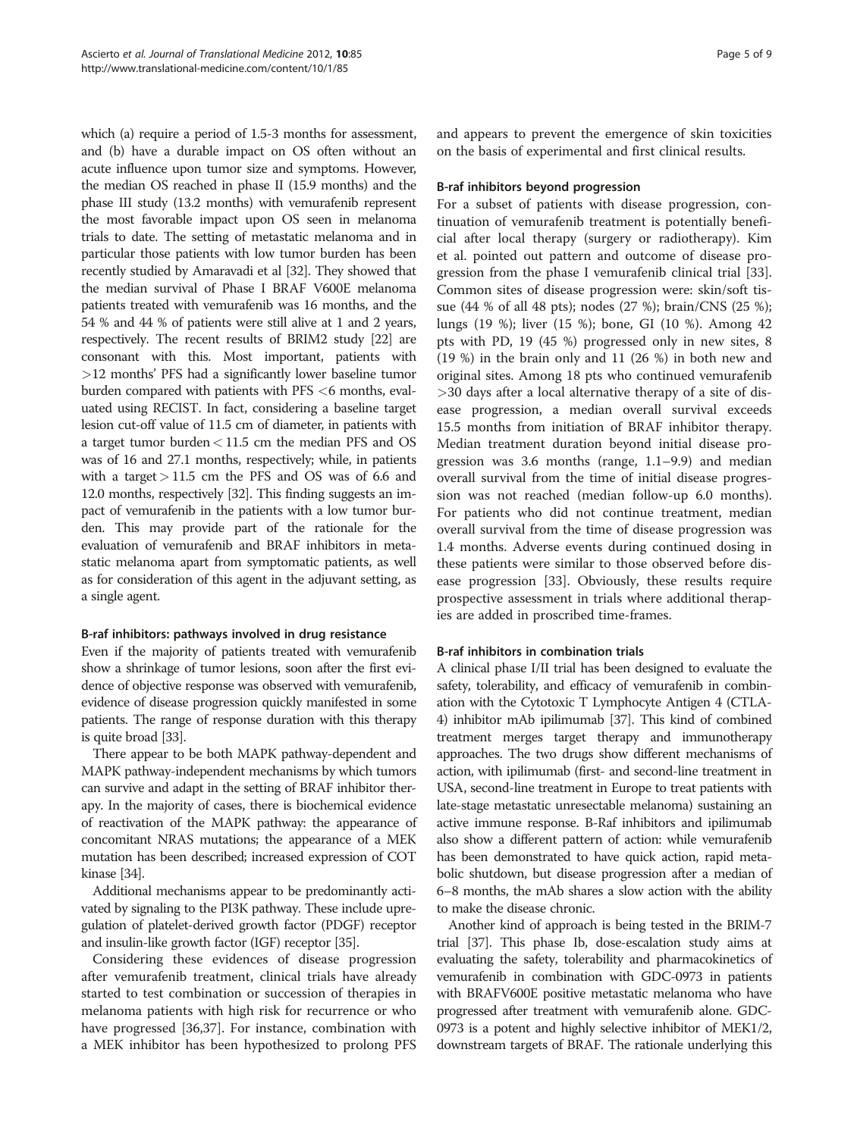which (a) require a period of 1.5-3 months for assessment, and (b) have a durable impact on OS often without an acute influence upon tumor size and symptoms. However, the median OS reached in phase II (15.9 months) and the phase III study (13.2 months) with vemurafenib represent the most favorable impact upon OS seen in melanoma trials to date. The setting of metastatic melanoma and in particular those patients with low tumor burden has been recently studied by Amaravadi et al [\[32\]](#page-7-0). They showed that the median survival of Phase I BRAF V600E melanoma patients treated with vemurafenib was 16 months, and the 54 % and 44 % of patients were still alive at 1 and 2 years, respectively. The recent results of BRIM2 study [\[22\]](#page-7-0) are consonant with this. Most important, patients with >12 months' PFS had a significantly lower baseline tumor burden compared with patients with PFS <6 months, evaluated using RECIST. In fact, considering a baseline target lesion cut-off value of 11.5 cm of diameter, in patients with a target tumor burden< 11.5 cm the median PFS and OS was of 16 and 27.1 months, respectively; while, in patients with a target  $> 11.5$  cm the PFS and OS was of 6.6 and 12.0 months, respectively [[32](#page-7-0)]. This finding suggests an impact of vemurafenib in the patients with a low tumor burden. This may provide part of the rationale for the evaluation of vemurafenib and BRAF inhibitors in metastatic melanoma apart from symptomatic patients, as well as for consideration of this agent in the adjuvant setting, as a single agent.

#### B-raf inhibitors: pathways involved in drug resistance

Even if the majority of patients treated with vemurafenib show a shrinkage of tumor lesions, soon after the first evidence of objective response was observed with vemurafenib, evidence of disease progression quickly manifested in some patients. The range of response duration with this therapy is quite broad [[33\]](#page-7-0).

There appear to be both MAPK pathway-dependent and MAPK pathway-independent mechanisms by which tumors can survive and adapt in the setting of BRAF inhibitor therapy. In the majority of cases, there is biochemical evidence of reactivation of the MAPK pathway: the appearance of concomitant NRAS mutations; the appearance of a MEK mutation has been described; increased expression of COT kinase [[34\]](#page-7-0).

Additional mechanisms appear to be predominantly activated by signaling to the PI3K pathway. These include upregulation of platelet-derived growth factor (PDGF) receptor and insulin-like growth factor (IGF) receptor [\[35\]](#page-7-0).

Considering these evidences of disease progression after vemurafenib treatment, clinical trials have already started to test combination or succession of therapies in melanoma patients with high risk for recurrence or who have progressed [[36,37](#page-7-0)]. For instance, combination with a MEK inhibitor has been hypothesized to prolong PFS

and appears to prevent the emergence of skin toxicities on the basis of experimental and first clinical results.

#### B-raf inhibitors beyond progression

For a subset of patients with disease progression, continuation of vemurafenib treatment is potentially beneficial after local therapy (surgery or radiotherapy). Kim et al. pointed out pattern and outcome of disease progression from the phase I vemurafenib clinical trial [[33](#page-7-0)]. Common sites of disease progression were: skin/soft tissue (44 % of all 48 pts); nodes (27 %); brain/CNS (25 %); lungs (19 %); liver (15 %); bone, GI (10 %). Among 42 pts with PD, 19 (45 %) progressed only in new sites, 8 (19 %) in the brain only and 11 (26 %) in both new and original sites. Among 18 pts who continued vemurafenib >30 days after a local alternative therapy of a site of disease progression, a median overall survival exceeds 15.5 months from initiation of BRAF inhibitor therapy. Median treatment duration beyond initial disease progression was 3.6 months (range, 1.1–9.9) and median overall survival from the time of initial disease progression was not reached (median follow-up 6.0 months). For patients who did not continue treatment, median overall survival from the time of disease progression was 1.4 months. Adverse events during continued dosing in these patients were similar to those observed before disease progression [[33](#page-7-0)]. Obviously, these results require prospective assessment in trials where additional therapies are added in proscribed time-frames.

#### B-raf inhibitors in combination trials

A clinical phase I/II trial has been designed to evaluate the safety, tolerability, and efficacy of vemurafenib in combination with the Cytotoxic T Lymphocyte Antigen 4 (CTLA-4) inhibitor mAb ipilimumab [\[37\]](#page-7-0). This kind of combined treatment merges target therapy and immunotherapy approaches. The two drugs show different mechanisms of action, with ipilimumab (first- and second-line treatment in USA, second-line treatment in Europe to treat patients with late-stage metastatic unresectable melanoma) sustaining an active immune response. B-Raf inhibitors and ipilimumab also show a different pattern of action: while vemurafenib has been demonstrated to have quick action, rapid metabolic shutdown, but disease progression after a median of 6–8 months, the mAb shares a slow action with the ability to make the disease chronic.

Another kind of approach is being tested in the BRIM-7 trial [\[37](#page-7-0)]. This phase Ib, dose-escalation study aims at evaluating the safety, tolerability and pharmacokinetics of vemurafenib in combination with GDC-0973 in patients with BRAFV600E positive metastatic melanoma who have progressed after treatment with vemurafenib alone. GDC-0973 is a potent and highly selective inhibitor of MEK1/2, downstream targets of BRAF. The rationale underlying this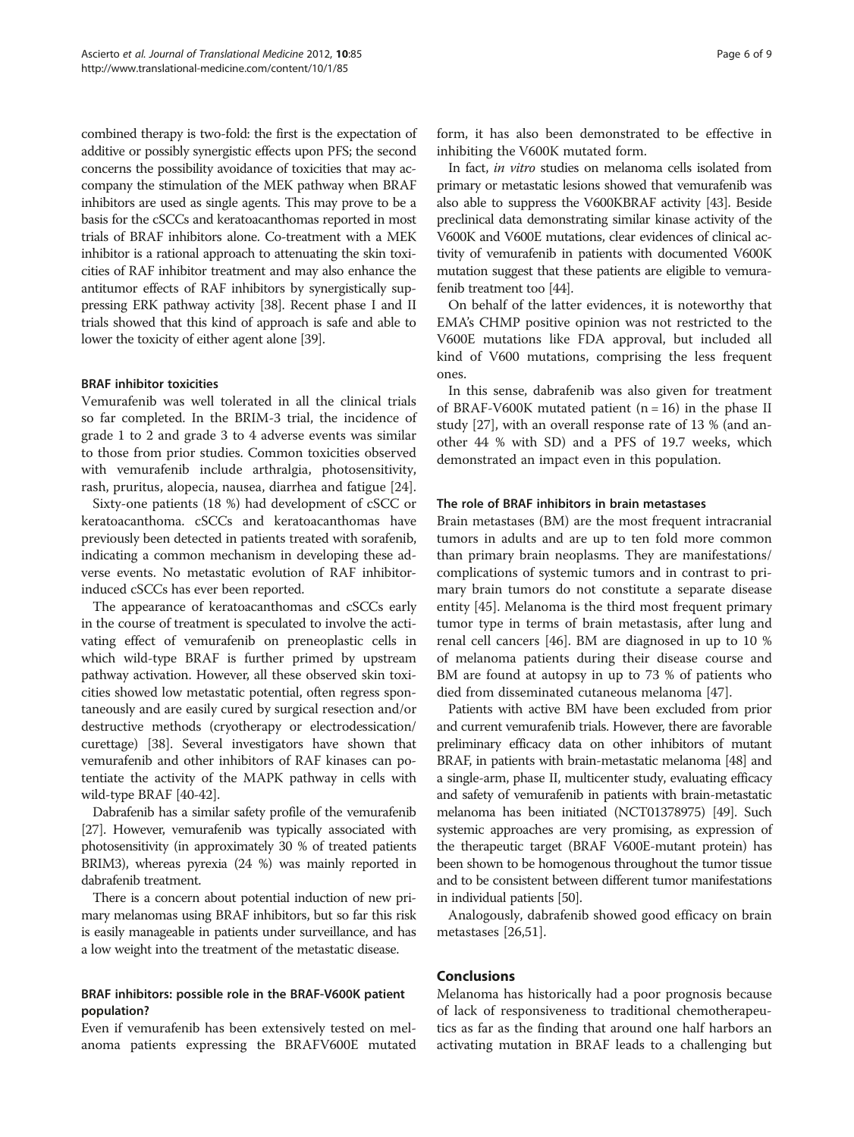combined therapy is two-fold: the first is the expectation of additive or possibly synergistic effects upon PFS; the second concerns the possibility avoidance of toxicities that may accompany the stimulation of the MEK pathway when BRAF inhibitors are used as single agents. This may prove to be a basis for the cSCCs and keratoacanthomas reported in most trials of BRAF inhibitors alone. Co-treatment with a MEK inhibitor is a rational approach to attenuating the skin toxicities of RAF inhibitor treatment and may also enhance the antitumor effects of RAF inhibitors by synergistically suppressing ERK pathway activity [\[38\]](#page-7-0). Recent phase I and II trials showed that this kind of approach is safe and able to lower the toxicity of either agent alone [\[39\]](#page-7-0).

#### BRAF inhibitor toxicities

Vemurafenib was well tolerated in all the clinical trials so far completed. In the BRIM-3 trial, the incidence of grade 1 to 2 and grade 3 to 4 adverse events was similar to those from prior studies. Common toxicities observed with vemurafenib include arthralgia, photosensitivity, rash, pruritus, alopecia, nausea, diarrhea and fatigue [\[24](#page-7-0)].

Sixty-one patients (18 %) had development of cSCC or keratoacanthoma. cSCCs and keratoacanthomas have previously been detected in patients treated with sorafenib, indicating a common mechanism in developing these adverse events. No metastatic evolution of RAF inhibitorinduced cSCCs has ever been reported.

The appearance of keratoacanthomas and cSCCs early in the course of treatment is speculated to involve the activating effect of vemurafenib on preneoplastic cells in which wild-type BRAF is further primed by upstream pathway activation. However, all these observed skin toxicities showed low metastatic potential, often regress spontaneously and are easily cured by surgical resection and/or destructive methods (cryotherapy or electrodessication/ curettage) [[38](#page-7-0)]. Several investigators have shown that vemurafenib and other inhibitors of RAF kinases can potentiate the activity of the MAPK pathway in cells with wild-type BRAF [[40](#page-7-0)-[42](#page-7-0)].

Dabrafenib has a similar safety profile of the vemurafenib [[27](#page-7-0)]. However, vemurafenib was typically associated with photosensitivity (in approximately 30 % of treated patients BRIM3), whereas pyrexia (24 %) was mainly reported in dabrafenib treatment.

There is a concern about potential induction of new primary melanomas using BRAF inhibitors, but so far this risk is easily manageable in patients under surveillance, and has a low weight into the treatment of the metastatic disease.

#### BRAF inhibitors: possible role in the BRAF-V600K patient population?

Even if vemurafenib has been extensively tested on melanoma patients expressing the BRAFV600E mutated

form, it has also been demonstrated to be effective in inhibiting the V600K mutated form.

In fact, in vitro studies on melanoma cells isolated from primary or metastatic lesions showed that vemurafenib was also able to suppress the V600KBRAF activity [\[43\]](#page-7-0). Beside preclinical data demonstrating similar kinase activity of the V600K and V600E mutations, clear evidences of clinical activity of vemurafenib in patients with documented V600K mutation suggest that these patients are eligible to vemurafenib treatment too [[44](#page-7-0)].

On behalf of the latter evidences, it is noteworthy that EMA's CHMP positive opinion was not restricted to the V600E mutations like FDA approval, but included all kind of V600 mutations, comprising the less frequent ones.

In this sense, dabrafenib was also given for treatment of BRAF-V600K mutated patient  $(n = 16)$  in the phase II study [[27](#page-7-0)], with an overall response rate of 13 % (and another 44 % with SD) and a PFS of 19.7 weeks, which demonstrated an impact even in this population.

#### The role of BRAF inhibitors in brain metastases

Brain metastases (BM) are the most frequent intracranial tumors in adults and are up to ten fold more common than primary brain neoplasms. They are manifestations/ complications of systemic tumors and in contrast to primary brain tumors do not constitute a separate disease entity [[45\]](#page-7-0). Melanoma is the third most frequent primary tumor type in terms of brain metastasis, after lung and renal cell cancers [\[46](#page-7-0)]. BM are diagnosed in up to 10 % of melanoma patients during their disease course and BM are found at autopsy in up to 73 % of patients who died from disseminated cutaneous melanoma [[47\]](#page-7-0).

Patients with active BM have been excluded from prior and current vemurafenib trials. However, there are favorable preliminary efficacy data on other inhibitors of mutant BRAF, in patients with brain-metastatic melanoma [[48](#page-7-0)] and a single-arm, phase II, multicenter study, evaluating efficacy and safety of vemurafenib in patients with brain-metastatic melanoma has been initiated (NCT01378975) [\[49](#page-8-0)]. Such systemic approaches are very promising, as expression of the therapeutic target (BRAF V600E-mutant protein) has been shown to be homogenous throughout the tumor tissue and to be consistent between different tumor manifestations in individual patients [\[50](#page-8-0)].

Analogously, dabrafenib showed good efficacy on brain metastases [\[26](#page-7-0)[,51\]](#page-8-0).

#### Conclusions

Melanoma has historically had a poor prognosis because of lack of responsiveness to traditional chemotherapeutics as far as the finding that around one half harbors an activating mutation in BRAF leads to a challenging but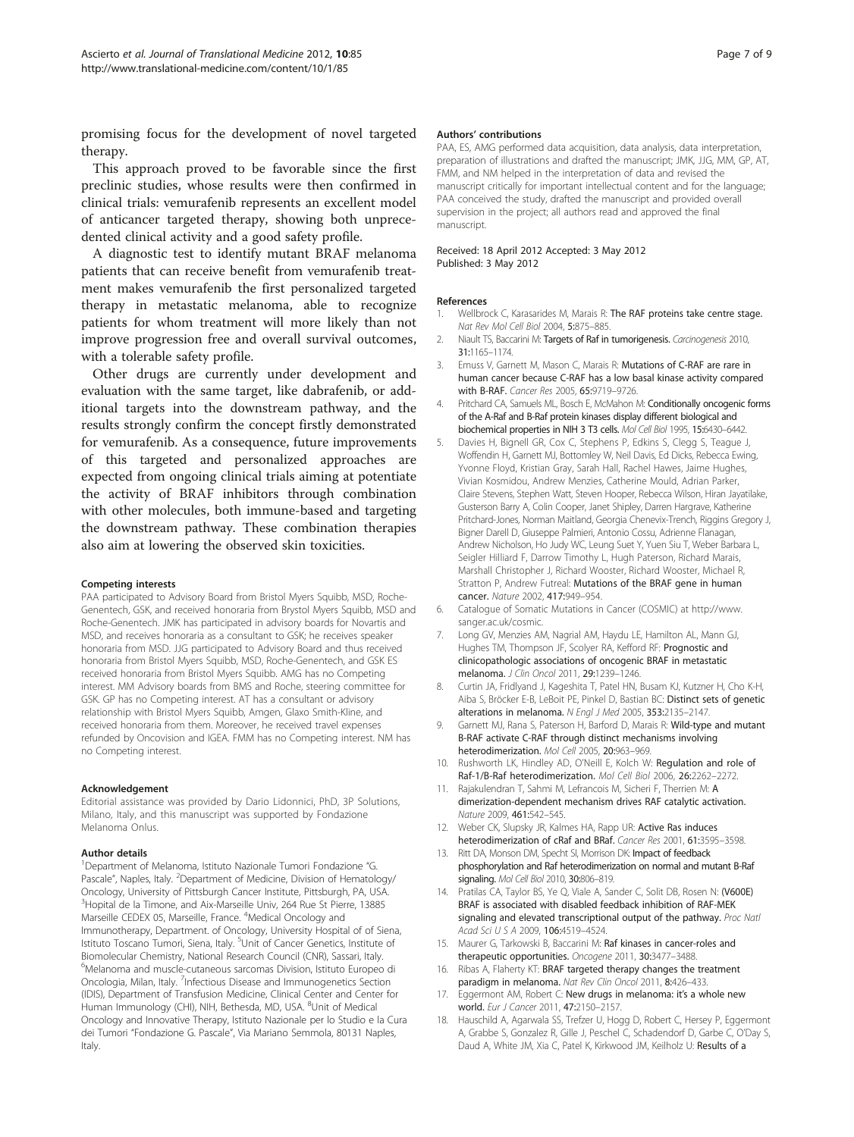<span id="page-6-0"></span>promising focus for the development of novel targeted therapy.

This approach proved to be favorable since the first preclinic studies, whose results were then confirmed in clinical trials: vemurafenib represents an excellent model of anticancer targeted therapy, showing both unprecedented clinical activity and a good safety profile.

A diagnostic test to identify mutant BRAF melanoma patients that can receive benefit from vemurafenib treatment makes vemurafenib the first personalized targeted therapy in metastatic melanoma, able to recognize patients for whom treatment will more likely than not improve progression free and overall survival outcomes, with a tolerable safety profile.

Other drugs are currently under development and evaluation with the same target, like dabrafenib, or additional targets into the downstream pathway, and the results strongly confirm the concept firstly demonstrated for vemurafenib. As a consequence, future improvements of this targeted and personalized approaches are expected from ongoing clinical trials aiming at potentiate the activity of BRAF inhibitors through combination with other molecules, both immune-based and targeting the downstream pathway. These combination therapies also aim at lowering the observed skin toxicities.

#### Competing interests

PAA participated to Advisory Board from Bristol Myers Squibb, MSD, Roche-Genentech, GSK, and received honoraria from Brystol Myers Squibb, MSD and Roche-Genentech. JMK has participated in advisory boards for Novartis and MSD, and receives honoraria as a consultant to GSK; he receives speaker honoraria from MSD. JJG participated to Advisory Board and thus received honoraria from Bristol Myers Squibb, MSD, Roche-Genentech, and GSK ES received honoraria from Bristol Myers Squibb. AMG has no Competing interest. MM Advisory boards from BMS and Roche, steering committee for GSK. GP has no Competing interest. AT has a consultant or advisory relationship with Bristol Myers Squibb, Amgen, Glaxo Smith-Kline, and received honoraria from them. Moreover, he received travel expenses refunded by Oncovision and IGEA. FMM has no Competing interest. NM has no Competing interest.

#### Acknowledgement

Editorial assistance was provided by Dario Lidonnici, PhD, 3P Solutions, Milano, Italy, and this manuscript was supported by Fondazione Melanoma Onlus.

#### Author details

<sup>1</sup>Department of Melanoma, Istituto Nazionale Tumori Fondazione "G. Pascale", Naples, Italy. <sup>2</sup>Department of Medicine, Division of Hematology/ Oncology, University of Pittsburgh Cancer Institute, Pittsburgh, PA, USA. <sup>3</sup>Hopital de la Timone, and Aix-Marseille Univ, 264 Rue St Pierre, 13885 Marseille CEDEX 05, Marseille, France. <sup>4</sup>Medical Oncology and Immunotherapy, Department. of Oncology, University Hospital of of Siena, Istituto Toscano Tumori, Siena, Italy. <sup>5</sup>Unit of Cancer Genetics, Institute of Biomolecular Chemistry, National Research Council (CNR), Sassari, Italy. 6 Melanoma and muscle-cutaneous sarcomas Division, Istituto Europeo di Oncologia, Milan, Italy. <sup>7</sup>Infectious Disease and Immunogenetics Section (IDIS), Department of Transfusion Medicine, Clinical Center and Center for Human Immunology (CHI), NIH, Bethesda, MD, USA. <sup>8</sup>Unit of Medical Oncology and Innovative Therapy, Istituto Nazionale per lo Studio e la Cura dei Tumori "Fondazione G. Pascale", Via Mariano Semmola, 80131 Naples, Italy.

#### Authors' contributions

PAA, ES, AMG performed data acquisition, data analysis, data interpretation, preparation of illustrations and drafted the manuscript; JMK, JJG, MM, GP, AT, FMM, and NM helped in the interpretation of data and revised the manuscript critically for important intellectual content and for the language; PAA conceived the study, drafted the manuscript and provided overall supervision in the project; all authors read and approved the final manuscript.

#### Received: 18 April 2012 Accepted: 3 May 2012 Published: 3 May 2012

#### References

- 1. Wellbrock C, Karasarides M, Marais R: The RAF proteins take centre stage. Nat Rev Mol Cell Biol 2004, 5:875–885.
- 2. Niault TS, Baccarini M: Targets of Raf in tumorigenesis. Carcinogenesis 2010, 31:1165–1174.
- 3. Emuss V, Garnett M, Mason C, Marais R: Mutations of C-RAF are rare in human cancer because C-RAF has a low basal kinase activity compared with B-RAF. Cancer Res 2005, 65:9719–9726.
- 4. Pritchard CA, Samuels ML, Bosch E, McMahon M: Conditionally oncogenic forms of the A-Raf and B-Raf protein kinases display different biological and biochemical properties in NIH 3 T3 cells. Mol Cell Biol 1995, 15:6430–6442.
- 5. Davies H, Bignell GR, Cox C, Stephens P, Edkins S, Clegg S, Teague J, Woffendin H, Garnett MJ, Bottomley W, Neil Davis, Ed Dicks, Rebecca Ewing, Yvonne Floyd, Kristian Gray, Sarah Hall, Rachel Hawes, Jaime Hughes, Vivian Kosmidou, Andrew Menzies, Catherine Mould, Adrian Parker, Claire Stevens, Stephen Watt, Steven Hooper, Rebecca Wilson, Hiran Jayatilake, Gusterson Barry A, Colin Cooper, Janet Shipley, Darren Hargrave, Katherine Pritchard-Jones, Norman Maitland, Georgia Chenevix-Trench, Riggins Gregory J, Bigner Darell D, Giuseppe Palmieri, Antonio Cossu, Adrienne Flanagan, Andrew Nicholson, Ho Judy WC, Leung Suet Y, Yuen Siu T, Weber Barbara L, Seigler Hilliard F, Darrow Timothy L, Hugh Paterson, Richard Marais, Marshall Christopher J, Richard Wooster, Richard Wooster, Michael R, Stratton P, Andrew Futreal: Mutations of the BRAF gene in human cancer. Nature 2002, 417:949–954.
- 6. Catalogue of Somatic Mutations in Cancer (COSMIC) at [http://www.](http://www.sanger.ac.uk/cosmic) [sanger.ac.uk/cosmic.](http://www.sanger.ac.uk/cosmic)
- Long GV, Menzies AM, Nagrial AM, Haydu LE, Hamilton AL, Mann GJ, Hughes TM, Thompson JF, Scolyer RA, Kefford RF: Prognostic and clinicopathologic associations of oncogenic BRAF in metastatic melanoma. J Clin Oncol 2011, 29:1239–1246.
- 8. Curtin JA, Fridlyand J, Kageshita T, Patel HN, Busam KJ, Kutzner H, Cho K-H, Aiba S, Bröcker E-B, LeBoit PE, Pinkel D, Bastian BC: Distinct sets of genetic alterations in melanoma. N Engl J Med 2005, 353:2135–2147.
- 9. Garnett MJ, Rana S, Paterson H, Barford D, Marais R: Wild-type and mutant B-RAF activate C-RAF through distinct mechanisms involving heterodimerization. Mol Cell 2005, 20:963–969.
- 10. Rushworth LK, Hindley AD, O'Neill E, Kolch W: Regulation and role of Raf-1/B-Raf heterodimerization. Mol Cell Biol 2006, 26:2262–2272.
- 11. Rajakulendran T, Sahmi M, Lefrancois M, Sicheri F, Therrien M: A dimerization-dependent mechanism drives RAF catalytic activation. Nature 2009, 461:542–545.
- 12. Weber CK, Slupsky JR, Kalmes HA, Rapp UR: Active Ras induces heterodimerization of cRaf and BRaf. Cancer Res 2001, 61:3595–3598.
- 13. Ritt DA, Monson DM, Specht SI, Morrison DK: Impact of feedback phosphorylation and Raf heterodimerization on normal and mutant B-Raf signaling. Mol Cell Biol 2010, 30:806-819.
- 14. Pratilas CA, Taylor BS, Ye Q, Viale A, Sander C, Solit DB, Rosen N: (V600E) BRAF is associated with disabled feedback inhibition of RAF-MEK signaling and elevated transcriptional output of the pathway. Proc Natl Acad Sci U S A 2009, 106:4519–4524.
- 15. Maurer G, Tarkowski B, Baccarini M: Raf kinases in cancer-roles and therapeutic opportunities. Oncogene 2011, 30:3477-3488.
- 16. Ribas A, Flaherty KT: BRAF targeted therapy changes the treatment paradigm in melanoma. Nat Rev Clin Oncol 2011, 8:426-433.
- 17. Eggermont AM, Robert C: New drugs in melanoma: it's a whole new world. Eur J Cancer 2011, 47:2150–2157.
- 18. Hauschild A, Agarwala SS, Trefzer U, Hogg D, Robert C, Hersey P, Eggermont A, Grabbe S, Gonzalez R, Gille J, Peschel C, Schadendorf D, Garbe C, O'Day S, Daud A, White JM, Xia C, Patel K, Kirkwood JM, Keilholz U: Results of a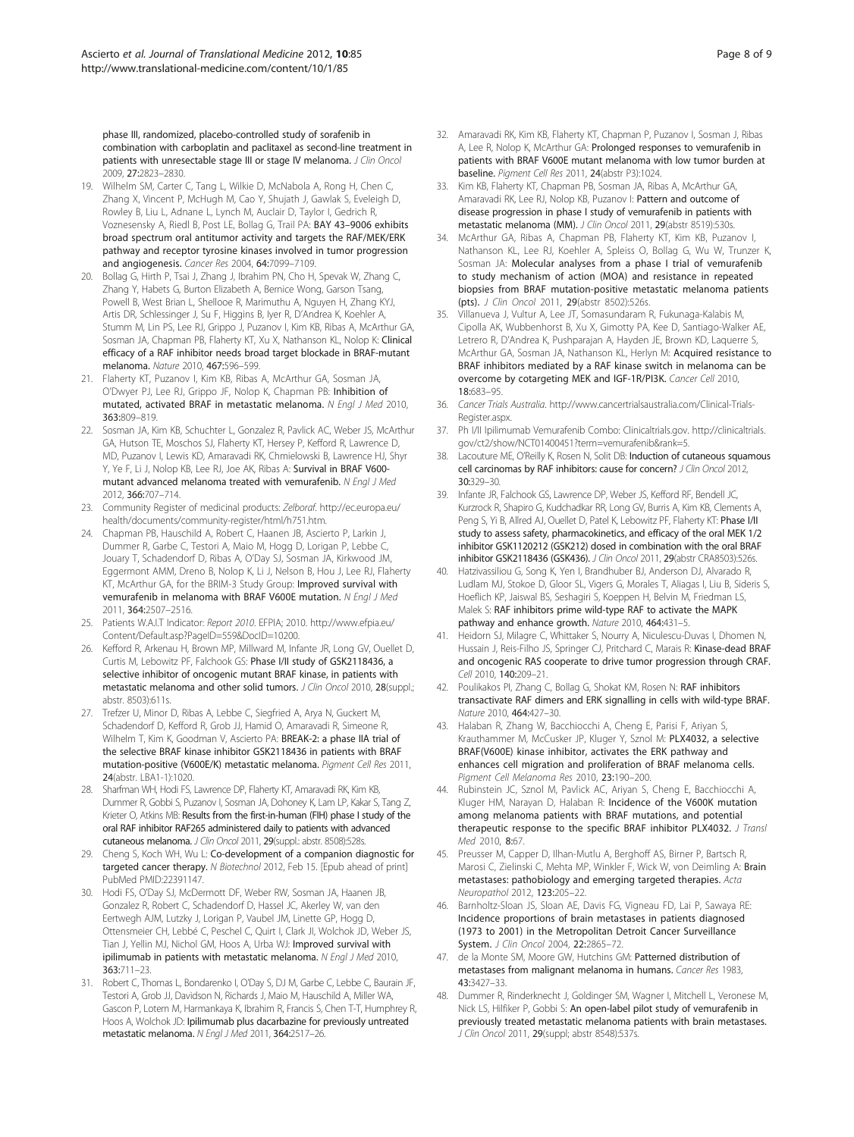<span id="page-7-0"></span>phase III, randomized, placebo-controlled study of sorafenib in combination with carboplatin and paclitaxel as second-line treatment in patients with unresectable stage III or stage IV melanoma. J Clin Oncol 2009, 27:2823–2830.

- 19. Wilhelm SM, Carter C, Tang L, Wilkie D, McNabola A, Rong H, Chen C, Zhang X, Vincent P, McHugh M, Cao Y, Shujath J, Gawlak S, Eveleigh D, Rowley B, Liu L, Adnane L, Lynch M, Auclair D, Taylor I, Gedrich R, Voznesensky A, Riedl B, Post LE, Bollag G, Trail PA: BAY 43–9006 exhibits broad spectrum oral antitumor activity and targets the RAF/MEK/ERK pathway and receptor tyrosine kinases involved in tumor progression and angiogenesis. Cancer Res 2004, 64:7099–7109.
- 20. Bollag G, Hirth P, Tsai J, Zhang J, Ibrahim PN, Cho H, Spevak W, Zhang C, Zhang Y, Habets G, Burton Elizabeth A, Bernice Wong, Garson Tsang, Powell B, West Brian L, Shellooe R, Marimuthu A, Nguyen H, Zhang KYJ, Artis DR, Schlessinger J, Su F, Higgins B, Iyer R, D'Andrea K, Koehler A, Stumm M, Lin PS, Lee RJ, Grippo J, Puzanov I, Kim KB, Ribas A, McArthur GA, Sosman JA, Chapman PB, Flaherty KT, Xu X, Nathanson KL, Nolop K: Clinical efficacy of a RAF inhibitor needs broad target blockade in BRAF-mutant melanoma. Nature 2010, 467:596–599.
- 21. Flaherty KT, Puzanov I, Kim KB, Ribas A, McArthur GA, Sosman JA, O'Dwyer PJ, Lee RJ, Grippo JF, Nolop K, Chapman PB: Inhibition of mutated, activated BRAF in metastatic melanoma. N Engl J Med 2010, 363:809–819.
- 22. Sosman JA, Kim KB, Schuchter L, Gonzalez R, Pavlick AC, Weber JS, McArthur GA, Hutson TE, Moschos SJ, Flaherty KT, Hersey P, Kefford R, Lawrence D, MD, Puzanov I, Lewis KD, Amaravadi RK, Chmielowski B, Lawrence HJ, Shyr Y, Ye F, Li J, Nolop KB, Lee RJ, Joe AK, Ribas A: Survival in BRAF V600mutant advanced melanoma treated with vemurafenib. N Engl J Med 2012, 366:707–714.
- 23. Community Register of medicinal products: Zelboraf. [http://ec.europa.eu/](http://ec.europa.eu/health/documents/community-register/html/h751.htm) [health/documents/community-register/html/h751.htm.](http://ec.europa.eu/health/documents/community-register/html/h751.htm)
- 24. Chapman PB, Hauschild A, Robert C, Haanen JB, Ascierto P, Larkin J, Dummer R, Garbe C, Testori A, Maio M, Hogg D, Lorigan P, Lebbe C, Jouary T, Schadendorf D, Ribas A, O'Day SJ, Sosman JA, Kirkwood JM, Eggermont AMM, Dreno B, Nolop K, Li J, Nelson B, Hou J, Lee RJ, Flaherty KT, McArthur GA, for the BRIM-3 Study Group: Improved survival with vemurafenib in melanoma with BRAF V600E mutation. N Engl J Med 2011, 364:2507–2516.
- 25. Patients W.A.I.T Indicator: Report 2010. EFPIA; 2010. [http://www.efpia.eu/](http://www.efpia.eu/Content/Default.asp?PageID=559&DocID=10200) [Content/Default.asp?PageID=559&DocID=10200.](http://www.efpia.eu/Content/Default.asp?PageID=559&DocID=10200)
- 26. Kefford R, Arkenau H, Brown MP, Millward M, Infante JR, Long GV, Ouellet D, Curtis M, Lebowitz PF, Falchook GS: Phase I/II study of GSK2118436, a selective inhibitor of oncogenic mutant BRAF kinase, in patients with metastatic melanoma and other solid tumors. J Clin Oncol 2010, 28(suppl.; abstr. 8503):611s.
- 27. Trefzer U, Minor D, Ribas A, Lebbe C, Siegfried A, Arya N, Guckert M, Schadendorf D, Kefford R, Grob JJ, Hamid O, Amaravadi R, Simeone R, Wilhelm T, Kim K, Goodman V, Ascierto PA: BREAK-2: a phase IIA trial of the selective BRAF kinase inhibitor GSK2118436 in patients with BRAF mutation-positive (V600E/K) metastatic melanoma. Pigment Cell Res 2011, 24(abstr. | BA1-1):1020.
- 28. Sharfman WH, Hodi FS, Lawrence DP, Flaherty KT, Amaravadi RK, Kim KB, Dummer R, Gobbi S, Puzanov I, Sosman JA, Dohoney K, Lam LP, Kakar S, Tang Z, Krieter O, Atkins MB: Results from the first-in-human (FIH) phase I study of the oral RAF inhibitor RAF265 administered daily to patients with advanced cutaneous melanoma. J Clin Oncol 2011, 29(suppl.: abstr. 8508):528s.
- 29. Cheng S, Koch WH, Wu L: Co-development of a companion diagnostic for targeted cancer therapy. N Biotechnol 2012, Feb 15. [Epub ahead of print] PubMed PMID:22391147.
- 30. Hodi FS, O'Day SJ, McDermott DF, Weber RW, Sosman JA, Haanen JB, Gonzalez R, Robert C, Schadendorf D, Hassel JC, Akerley W, van den Eertwegh AJM, Lutzky J, Lorigan P, Vaubel JM, Linette GP, Hogg D, Ottensmeier CH, Lebbé C, Peschel C, Quirt I, Clark JI, Wolchok JD, Weber JS, Tian J, Yellin MJ, Nichol GM, Hoos A, Urba WJ: Improved survival with ipilimumab in patients with metastatic melanoma. N Engl J Med 2010, 363:711–23.
- 31. Robert C, Thomas L, Bondarenko I, O'Day S, DJ M, Garbe C, Lebbe C, Baurain JF, Testori A, Grob JJ, Davidson N, Richards J, Maio M, Hauschild A, Miller WA, Gascon P, Lotem M, Harmankaya K, Ibrahim R, Francis S, Chen T-T, Humphrey R, Hoos A, Wolchok JD: Ipilimumab plus dacarbazine for previously untreated metastatic melanoma. N Engl J Med 2011, 364:2517–26.
- 32. Amaravadi RK, Kim KB, Flaherty KT, Chapman P, Puzanov I, Sosman J, Ribas A, Lee R, Nolop K, McArthur GA: Prolonged responses to vemurafenib in patients with BRAF V600E mutant melanoma with low tumor burden at baseline. Pigment Cell Res 2011, 24(abstr P3):1024.
- 33. Kim KB, Flaherty KT, Chapman PB, Sosman JA, Ribas A, McArthur GA, Amaravadi RK, Lee RJ, Nolop KB, Puzanov I: Pattern and outcome of disease progression in phase I study of vemurafenib in patients with metastatic melanoma (MM). J Clin Oncol 2011, 29(abstr 8519):530s.
- 34. McArthur GA, Ribas A, Chapman PB, Flaherty KT, Kim KB, Puzanov I, Nathanson KL, Lee RJ, Koehler A, Spleiss O, Bollag G, Wu W, Trunzer K, Sosman JA: Molecular analyses from a phase I trial of vemurafenib to study mechanism of action (MOA) and resistance in repeated biopsies from BRAF mutation-positive metastatic melanoma patients (pts). J Clin Oncol 2011, 29(abstr 8502):526s.
- 35. Villanueva J, Vultur A, Lee JT, Somasundaram R, Fukunaga-Kalabis M, Cipolla AK, Wubbenhorst B, Xu X, Gimotty PA, Kee D, Santiago-Walker AE, Letrero R, D'Andrea K, Pushparajan A, Hayden JE, Brown KD, Laquerre S, McArthur GA, Sosman JA, Nathanson KL, Herlyn M: Acquired resistance to BRAF inhibitors mediated by a RAF kinase switch in melanoma can be overcome by cotargeting MEK and IGF-1R/PI3K. Cancer Cell 2010, 18:683–95.
- 36. Cancer Trials Australia. [http://www.cancertrialsaustralia.com/Clinical-Trials-](http://www.cancertrialsaustralia.com/Clinical-Trials-Register.aspx)[Register.aspx.](http://www.cancertrialsaustralia.com/Clinical-Trials-Register.aspx)
- 37. Ph I/II Ipilimumab Vemurafenib Combo: Clinicaltrials.gov. [http://clinicaltrials.](http://clinicaltrials.gov/ct2/show/NCT01400451?term=vemurafenib&rank=5) [gov/ct2/show/NCT01400451?term=vemurafenib&rank=5.](http://clinicaltrials.gov/ct2/show/NCT01400451?term=vemurafenib&rank=5)
- 38. Lacouture ME, O'Reilly K, Rosen N, Solit DB: Induction of cutaneous squamous cell carcinomas by RAF inhibitors: cause for concern? J Clin Oncol 2012, 30:329–30.
- 39. Infante JR, Falchook GS, Lawrence DP, Weber JS, Kefford RF, Bendell JC, Kurzrock R, Shapiro G, Kudchadkar RR, Long GV, Burris A, Kim KB, Clements A, Peng S, Yi B, Allred AJ, Ouellet D, Patel K, Lebowitz PF, Flaherty KT: Phase I/II study to assess safety, pharmacokinetics, and efficacy of the oral MEK 1/2 inhibitor GSK1120212 (GSK212) dosed in combination with the oral BRAF inhibitor GSK2118436 (GSK436). J Clin Oncol 2011, 29(abstr CRA8503):526s.
- 40. Hatzivassiliou G, Song K, Yen I, Brandhuber BJ, Anderson DJ, Alvarado R, Ludlam MJ, Stokoe D, Gloor SL, Vigers G, Morales T, Aliagas I, Liu B, Sideris S, Hoeflich KP, Jaiswal BS, Seshagiri S, Koeppen H, Belvin M, Friedman LS, Malek S: RAF inhibitors prime wild-type RAF to activate the MAPK pathway and enhance growth. Nature 2010, 464:431–5.
- 41. Heidorn SJ, Milagre C, Whittaker S, Nourry A, Niculescu-Duvas I, Dhomen N, Hussain J, Reis-Filho JS, Springer CJ, Pritchard C, Marais R: Kinase-dead BRAF and oncogenic RAS cooperate to drive tumor progression through CRAF. Cell 2010, 140:209–21.
- 42. Poulikakos PI, Zhang C, Bollag G, Shokat KM, Rosen N: RAF inhibitors transactivate RAF dimers and ERK signalling in cells with wild-type BRAF. Nature 2010, 464:427–30.
- 43. Halaban R, Zhang W, Bacchiocchi A, Cheng E, Parisi F, Ariyan S, Krauthammer M, McCusker JP, Kluger Y, Sznol M: PLX4032, a selective BRAF(V600E) kinase inhibitor, activates the ERK pathway and enhances cell migration and proliferation of BRAF melanoma cells. Pigment Cell Melanoma Res 2010, 23:190–200.
- 44. Rubinstein JC, Sznol M, Pavlick AC, Ariyan S, Cheng E, Bacchiocchi A, Kluger HM, Narayan D, Halaban R: Incidence of the V600K mutation among melanoma patients with BRAF mutations, and potential therapeutic response to the specific BRAF inhibitor PLX4032. J Transl Med 2010, 8:67
- 45. Preusser M, Capper D, Ilhan-Mutlu A, Berghoff AS, Birner P, Bartsch R, Marosi C, Zielinski C, Mehta MP, Winkler F, Wick W, von Deimling A: Brain metastases: pathobiology and emerging targeted therapies. Acta Neuropathol 2012, 123:205–22.
- 46. Barnholtz-Sloan JS, Sloan AE, Davis FG, Vigneau FD, Lai P, Sawaya RE: Incidence proportions of brain metastases in patients diagnosed (1973 to 2001) in the Metropolitan Detroit Cancer Surveillance System. J Clin Oncol 2004, 22:2865-72.
- 47. de la Monte SM, Moore GW, Hutchins GM: Patterned distribution of metastases from malignant melanoma in humans. Cancer Res 1983, 43:3427–33.
- 48. Dummer R, Rinderknecht J, Goldinger SM, Wagner I, Mitchell L, Veronese M, Nick LS, Hilfiker P, Gobbi S: An open-label pilot study of vemurafenib in previously treated metastatic melanoma patients with brain metastases. J Clin Oncol 2011, 29(suppl; abstr 8548):537s.